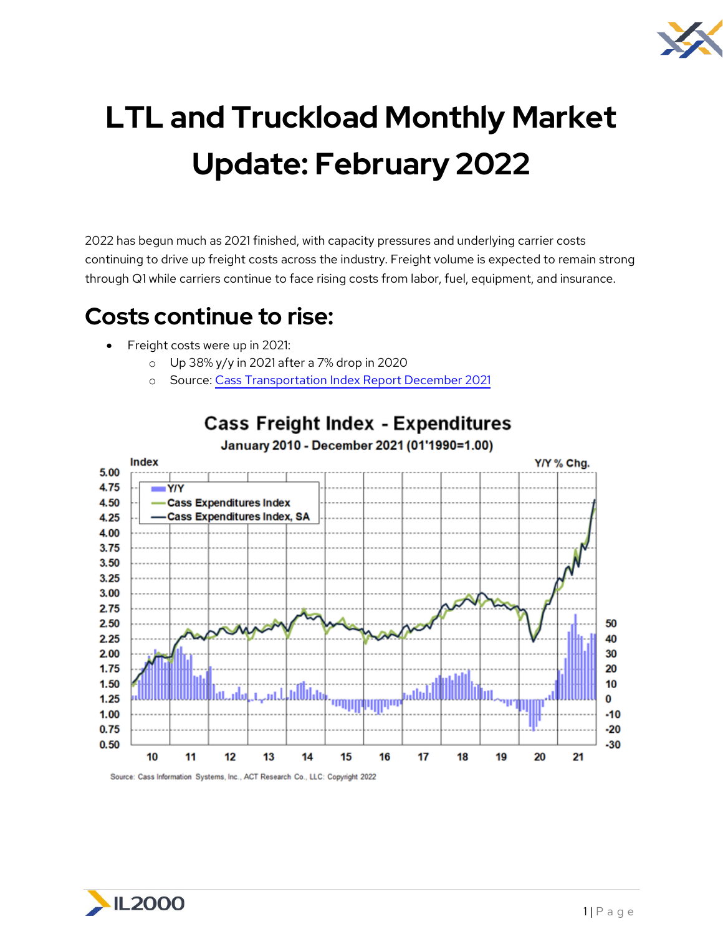

# **LTL and Truckload Monthly Market Update: February 2022**

2022 has begun much as 2021 finished, with capacity pressures and underlying carrier costs continuing to drive up freight costs across the industry. Freight volume is expected to remain strong through Q1 while carriers continue to face rising costs from labor, fuel, equipment, and insurance.

### **Costs continue to rise:**

- Freight costs were up in 2021:
	- o Up 38% y/y in 2021 after a 7% drop in 2020
	- o Source: Cass Transportation [Index Report December 2021](https://www.cassinfo.com/freight-audit-payment/cass-transportation-indexes/december-2021)



#### **Cass Freight Index - Expenditures** January 2010 - December 2021 (01'1990=1.00)

Source: Cass Information Systems, Inc., ACT Research Co., LLC: Copyright 2022